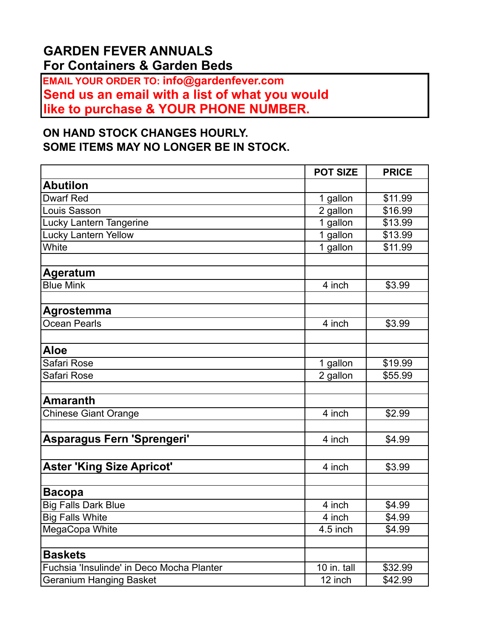## **GARDEN FEVER ANNUALS For Containers & Garden Beds**

**EMAIL YOUR ORDER TO: info@gardenfever.com Send us an email with a list of what you would like to purchase & YOUR PHONE NUMBER.** 

## **ON HAND STOCK CHANGES HOURLY. SOME ITEMS MAY NO LONGER BE IN STOCK.**

|                                           | <b>POT SIZE</b>       | <b>PRICE</b>        |
|-------------------------------------------|-----------------------|---------------------|
| <b>Abutilon</b>                           |                       |                     |
| <b>Dwarf Red</b>                          | 1 gallon              | \$11.99             |
| Louis Sasson                              | 2 gallon              | $\overline{$}16.99$ |
| Lucky Lantern Tangerine                   | 1 gallon              | \$13.99             |
| <b>Lucky Lantern Yellow</b>               | 1 gallon              | \$13.99             |
| White                                     | $\overline{1}$ gallon | \$11.99             |
|                                           |                       |                     |
| <b>Ageratum</b>                           |                       |                     |
| <b>Blue Mink</b>                          | 4 inch                | \$3.99              |
|                                           |                       |                     |
| Agrostemma                                |                       |                     |
| Ocean Pearls                              | 4 inch                | \$3.99              |
|                                           |                       |                     |
| <b>Aloe</b>                               |                       |                     |
| Safari Rose                               | 1 gallon              | \$19.99             |
| Safari Rose                               | 2 gallon              | \$55.99             |
|                                           |                       |                     |
| <b>Amaranth</b>                           |                       |                     |
| Chinese Giant Orange                      | 4 inch                | \$2.99              |
|                                           |                       |                     |
| Asparagus Fern 'Sprengeri'                | 4 inch                | \$4.99              |
|                                           |                       |                     |
| <b>Aster 'King Size Apricot'</b>          | 4 inch                | \$3.99              |
|                                           |                       |                     |
| <b>Bacopa</b>                             |                       |                     |
| <b>Big Falls Dark Blue</b>                | 4 inch                | \$4.99              |
| <b>Big Falls White</b>                    | 4 inch                | \$4.99              |
| MegaCopa White                            | 4.5 inch              | \$4.99              |
|                                           |                       |                     |
| <b>Baskets</b>                            |                       |                     |
| Fuchsia 'Insulinde' in Deco Mocha Planter | 10 in. tall           | \$32.99             |
| <b>Geranium Hanging Basket</b>            | 12 inch               | \$42.99             |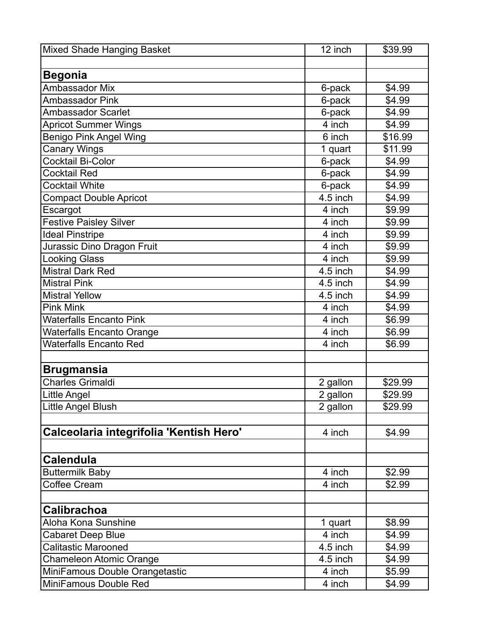| <b>Mixed Shade Hanging Basket</b>       | 12 inch               | \$39.99 |
|-----------------------------------------|-----------------------|---------|
|                                         |                       |         |
| <b>Begonia</b>                          |                       |         |
| <b>Ambassador Mix</b>                   | 6-pack                | \$4.99  |
| Ambassador Pink                         | 6-pack                | \$4.99  |
| <b>Ambassador Scarlet</b>               | 6-pack                | \$4.99  |
| <b>Apricot Summer Wings</b>             | 4 inch                | \$4.99  |
| <b>Benigo Pink Angel Wing</b>           | 6 inch                | \$16.99 |
| <b>Canary Wings</b>                     | 1 quart               | \$11.99 |
| Cocktail Bi-Color                       | 6-pack                | \$4.99  |
| Cocktail Red                            | 6-pack                | \$4.99  |
| <b>Cocktail White</b>                   | 6-pack                | \$4.99  |
| <b>Compact Double Apricot</b>           | 4.5 inch              | \$4.99  |
| Escargot                                | 4 inch                | \$9.99  |
| <b>Festive Paisley Silver</b>           | 4 inch                | \$9.99  |
| <b>Ideal Pinstripe</b>                  | 4 inch                | \$9.99  |
| Jurassic Dino Dragon Fruit              | 4 inch                | \$9.99  |
| <b>Looking Glass</b>                    | 4 inch                | \$9.99  |
| <b>Mistral Dark Red</b>                 | 4.5 inch              | \$4.99  |
| <b>Mistral Pink</b>                     | 4.5 inch              | \$4.99  |
| <b>Mistral Yellow</b>                   | 4.5 inch              | \$4.99  |
| <b>Pink Mink</b>                        | 4 inch                | \$4.99  |
| <b>Waterfalls Encanto Pink</b>          | 4 inch                | \$6.99  |
| <b>Waterfalls Encanto Orange</b>        | 4 inch                | \$6.99  |
| <b>Waterfalls Encanto Red</b>           | 4 inch                | \$6.99  |
|                                         |                       |         |
| <b>Brugmansia</b>                       |                       |         |
| <b>Charles Grimaldi</b>                 | 2 gallon              | \$29.99 |
| Little Angel                            | 2 gallon              | \$29.99 |
| Little Angel Blush                      | $\overline{2}$ gallon | \$29.99 |
|                                         |                       |         |
| Calceolaria integrifolia 'Kentish Hero' | 4 inch                | \$4.99  |
|                                         |                       |         |
| <b>Calendula</b>                        |                       |         |
| <b>Buttermilk Baby</b>                  | 4 inch                | \$2.99  |
| Coffee Cream                            | 4 inch                | \$2.99  |
|                                         |                       |         |
| <b>Calibrachoa</b>                      |                       |         |
| Aloha Kona Sunshine                     | 1 quart               | \$8.99  |
| <b>Cabaret Deep Blue</b>                | 4 inch                | \$4.99  |
| <b>Calitastic Marooned</b>              | 4.5 inch              | \$4.99  |
| <b>Chameleon Atomic Orange</b>          | 4.5 inch              | \$4.99  |
| MiniFamous Double Orangetastic          | 4 inch                | \$5.99  |
| <b>MiniFamous Double Red</b>            | 4 inch                | \$4.99  |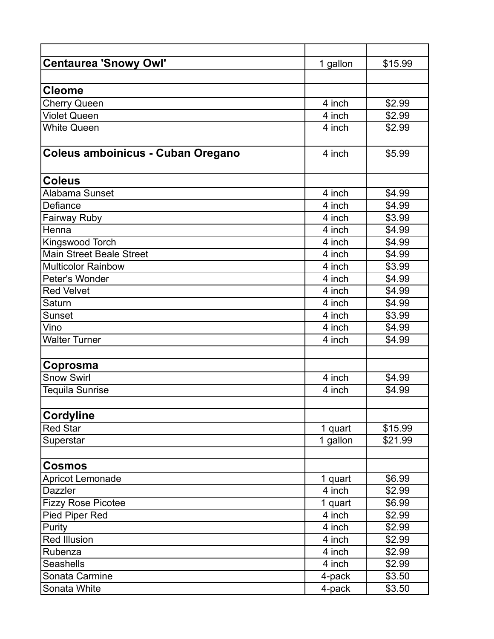| <b>Centaurea 'Snowy Owl'</b>      | 1 gallon | \$15.99            |
|-----------------------------------|----------|--------------------|
|                                   |          |                    |
| <b>Cleome</b>                     |          |                    |
| <b>Cherry Queen</b>               | 4 inch   | \$2.99             |
| <b>Violet Queen</b>               | 4 inch   | \$2.99             |
| <b>White Queen</b>                | 4 inch   | \$2.99             |
|                                   |          |                    |
| Coleus amboinicus - Cuban Oregano | 4 inch   | \$5.99             |
|                                   |          |                    |
| <b>Coleus</b>                     |          |                    |
| Alabama Sunset                    | 4 inch   | \$4.99             |
| Defiance                          | 4 inch   | \$4.99             |
| Fairway Ruby                      | 4 inch   | $\overline{$}3.99$ |
| Henna                             | 4 inch   | \$4.99             |
| Kingswood Torch                   | 4 inch   | \$4.99             |
| <b>Main Street Beale Street</b>   | 4 inch   | \$4.99             |
| <b>Multicolor Rainbow</b>         | 4 inch   | \$3.99             |
| Peter's Wonder                    | 4 inch   | \$4.99             |
| <b>Red Velvet</b>                 | 4 inch   | \$4.99             |
| Saturn                            | 4 inch   | \$4.99             |
| Sunset                            | 4 inch   | \$3.99             |
| Vino                              | 4 inch   | \$4.99             |
| <b>Walter Turner</b>              | 4 inch   | \$4.99             |
|                                   |          |                    |
| Coprosma                          |          |                    |
| <b>Snow Swirl</b>                 | 4 inch   | \$4.99             |
| Tequila Sunrise                   | 4 inch   | \$4.99             |
|                                   |          |                    |
| <b>Cordyline</b>                  |          |                    |
| <b>Red Star</b>                   | 1 quart  | \$15.99            |
| Superstar                         | 1 gallon | \$21.99            |
|                                   |          |                    |
| <b>Cosmos</b>                     |          |                    |
| Apricot Lemonade                  | 1 quart  | \$6.99             |
| <b>Dazzler</b>                    | 4 inch   | \$2.99             |
| <b>Fizzy Rose Picotee</b>         | 1 quart  | \$6.99             |
| Pied Piper Red                    | 4 inch   | \$2.99             |
| Purity                            | 4 inch   | \$2.99             |
| <b>Red Illusion</b>               | 4 inch   | \$2.99             |
| Rubenza                           | 4 inch   | \$2.99             |
| <b>Seashells</b>                  | 4 inch   | \$2.99             |
| Sonata Carmine                    | 4-pack   | \$3.50             |
| Sonata White                      | 4-pack   | \$3.50             |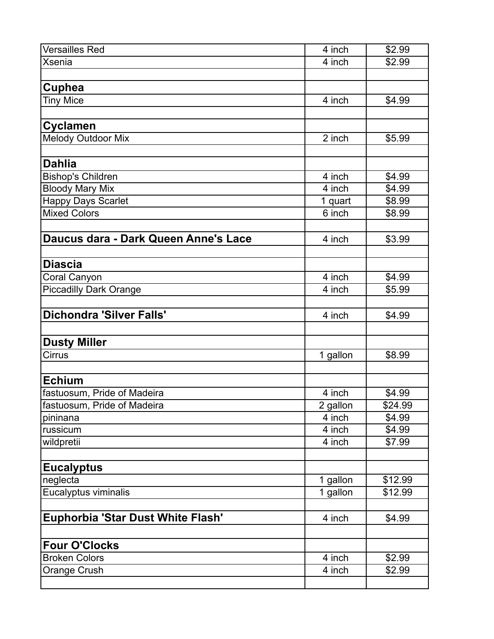| <b>Versailles Red</b>                | 4 inch              | \$2.99  |
|--------------------------------------|---------------------|---------|
| <b>Xsenia</b>                        | $\overline{4}$ inch | \$2.99  |
|                                      |                     |         |
| Cuphea                               |                     |         |
| <b>Tiny Mice</b>                     | 4 inch              | \$4.99  |
|                                      |                     |         |
| <b>Cyclamen</b>                      |                     |         |
| <b>Melody Outdoor Mix</b>            | 2 inch              | \$5.99  |
|                                      |                     |         |
| <b>Dahlia</b>                        |                     |         |
| <b>Bishop's Children</b>             | 4 inch              | \$4.99  |
| <b>Bloody Mary Mix</b>               | 4 inch              | \$4.99  |
| <b>Happy Days Scarlet</b>            | 1 quart             | \$8.99  |
| <b>Mixed Colors</b>                  | 6 inch              | \$8.99  |
|                                      |                     |         |
| Daucus dara - Dark Queen Anne's Lace | 4 inch              | \$3.99  |
|                                      |                     |         |
| <b>Diascia</b>                       |                     |         |
| Coral Canyon                         | 4 inch              | \$4.99  |
| <b>Piccadilly Dark Orange</b>        | 4 inch              | \$5.99  |
|                                      |                     |         |
| <b>Dichondra 'Silver Falls'</b>      | 4 inch              | \$4.99  |
|                                      |                     |         |
| <b>Dusty Miller</b>                  |                     |         |
| Cirrus                               | 1 gallon            | \$8.99  |
|                                      |                     |         |
| <b>Echium</b>                        |                     |         |
| fastuosum, Pride of Madeira          | 4 inch              | \$4.99  |
| fastuosum, Pride of Madeira          | 2 gallon            | \$24.99 |
| pininana                             | 4 inch              | \$4.99  |
| russicum                             | 4 inch              | \$4.99  |
| wildpretii                           | 4 inch              | \$7.99  |
|                                      |                     |         |
| <b>Eucalyptus</b>                    |                     |         |
| neglecta                             | 1 gallon            | \$12.99 |
| Eucalyptus viminalis                 | 1 gallon            | \$12.99 |
|                                      |                     |         |
| Euphorbia 'Star Dust White Flash'    | 4 inch              | \$4.99  |
|                                      |                     |         |
| <b>Four O'Clocks</b>                 |                     |         |
| <b>Broken Colors</b>                 | 4 inch              | \$2.99  |
| Orange Crush                         | 4 inch              | \$2.99  |
|                                      |                     |         |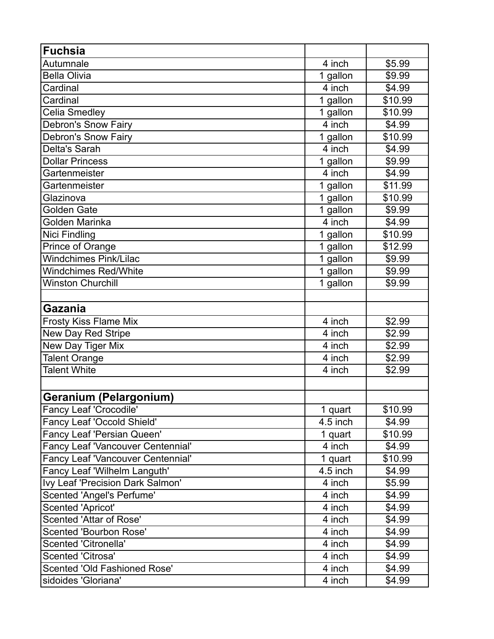| <b>Fuchsia</b>                           |          |                     |
|------------------------------------------|----------|---------------------|
| Autumnale                                | 4 inch   | \$5.99              |
| <b>Bella Olivia</b>                      | 1 gallon | \$9.99              |
| Cardinal                                 | 4 inch   | \$4.99              |
| Cardinal                                 | 1 gallon | \$10.99             |
| Celia Smedley                            | 1 gallon | \$10.99             |
| Debron's Snow Fairy                      | 4 inch   | \$4.99              |
| <b>Debron's Snow Fairy</b>               | 1 gallon | \$10.99             |
| Delta's Sarah                            | 4 inch   | \$4.99              |
| <b>Dollar Princess</b>                   | 1 gallon | \$9.99              |
| Gartenmeister                            | 4 inch   | \$4.99              |
| Gartenmeister                            | 1 gallon | \$11.99             |
| Glazinova                                | 1 gallon | \$10.99             |
| Golden Gate                              | 1 gallon | \$9.99              |
| Golden Marinka                           | 4 inch   | \$4.99              |
| Nici Findling                            | 1 gallon | \$10.99             |
| Prince of Orange                         | 1 gallon | $\overline{$}12.99$ |
| <b>Windchimes Pink/Lilac</b>             | 1 gallon | \$9.99              |
| <b>Windchimes Red/White</b>              | 1 gallon | \$9.99              |
| <b>Winston Churchill</b>                 | 1 gallon | \$9.99              |
|                                          |          |                     |
| <b>Gazania</b>                           |          |                     |
| <b>Frosty Kiss Flame Mix</b>             | 4 inch   | \$2.99              |
| New Day Red Stripe                       | 4 inch   | \$2.99              |
| New Day Tiger Mix                        | 4 inch   | \$2.99              |
| <b>Talent Orange</b>                     | 4 inch   | \$2.99              |
| <b>Talent White</b>                      | 4 inch   | \$2.99              |
|                                          |          |                     |
| Geranium (Pelargonium)                   |          |                     |
| Fancy Leaf 'Crocodile'                   | 1 quart  | \$10.99             |
| <b>Fancy Leaf 'Occold Shield'</b>        | 4.5 inch | \$4.99              |
| Fancy Leaf 'Persian Queen'               | 1 quart  | \$10.99             |
| <b>Fancy Leaf 'Vancouver Centennial'</b> | 4 inch   | \$4.99              |
| Fancy Leaf 'Vancouver Centennial'        | 1 quart  | \$10.99             |
| Fancy Leaf 'Wilhelm Languth'             | 4.5 inch | \$4.99              |
| Ivy Leaf 'Precision Dark Salmon'         | 4 inch   | \$5.99              |
| <b>Scented 'Angel's Perfume'</b>         | 4 inch   | \$4.99              |
| <b>Scented 'Apricot'</b>                 | 4 inch   | \$4.99              |
| Scented 'Attar of Rose'                  | 4 inch   | \$4.99              |
| <b>Scented 'Bourbon Rose'</b>            | 4 inch   | \$4.99              |
| <b>Scented 'Citronella'</b>              | 4 inch   | \$4.99              |
| <b>Scented 'Citrosa'</b>                 | 4 inch   | \$4.99              |
| Scented 'Old Fashioned Rose'             | 4 inch   | \$4.99              |
| sidoides 'Gloriana'                      | 4 inch   | \$4.99              |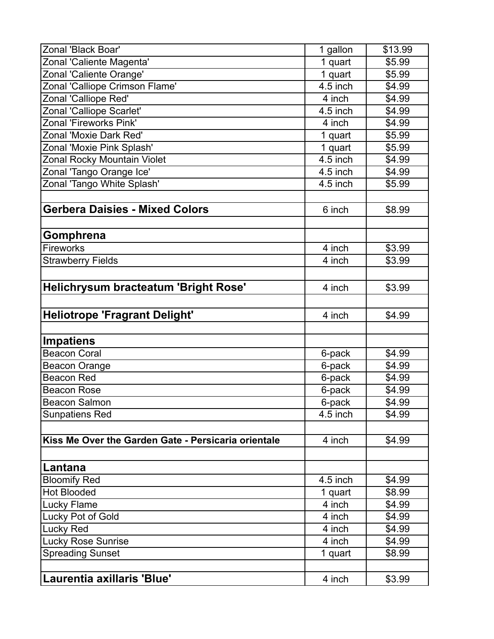| Zonal 'Black Boar'                                  | 1 gallon | \$13.99 |
|-----------------------------------------------------|----------|---------|
| Zonal 'Caliente Magenta'                            | 1 quart  | \$5.99  |
| Zonal 'Caliente Orange'                             | 1 quart  | \$5.99  |
| Zonal 'Calliope Crimson Flame'                      | 4.5 inch | \$4.99  |
| Zonal 'Calliope Red'                                | 4 inch   | \$4.99  |
| Zonal 'Calliope Scarlet'                            | 4.5 inch | \$4.99  |
| Zonal 'Fireworks Pink'                              | 4 inch   | \$4.99  |
| Zonal 'Moxie Dark Red'                              | 1 quart  | \$5.99  |
| Zonal 'Moxie Pink Splash'                           | 1 quart  | \$5.99  |
| Zonal Rocky Mountain Violet                         | 4.5 inch | \$4.99  |
| Zonal 'Tango Orange Ice'                            | 4.5 inch | \$4.99  |
| Zonal 'Tango White Splash'                          | 4.5 inch | \$5.99  |
|                                                     |          |         |
| <b>Gerbera Daisies - Mixed Colors</b>               | 6 inch   | \$8.99  |
|                                                     |          |         |
| Gomphrena                                           |          |         |
| <b>Fireworks</b>                                    | 4 inch   | \$3.99  |
| <b>Strawberry Fields</b>                            | 4 inch   | \$3.99  |
| Helichrysum bracteatum 'Bright Rose'                | 4 inch   | \$3.99  |
|                                                     |          |         |
| <b>Heliotrope 'Fragrant Delight'</b>                | 4 inch   | \$4.99  |
|                                                     |          |         |
| <b>Impatiens</b>                                    |          |         |
| <b>Beacon Coral</b>                                 | 6-pack   | \$4.99  |
| <b>Beacon Orange</b>                                | 6-pack   | \$4.99  |
| <b>Beacon Red</b>                                   | 6-pack   | \$4.99  |
| <b>Beacon Rose</b>                                  | 6-pack   | \$4.99  |
| <b>Beacon Salmon</b>                                | 6-pack   | \$4.99  |
| <b>Sunpatiens Red</b>                               | 4.5 inch | \$4.99  |
|                                                     |          |         |
| Kiss Me Over the Garden Gate - Persicaria orientale | 4 inch   | \$4.99  |
|                                                     |          |         |
| Lantana                                             |          |         |
| <b>Bloomify Red</b>                                 | 4.5 inch | \$4.99  |
| <b>Hot Blooded</b>                                  | 1 quart  | \$8.99  |
| Lucky Flame                                         | 4 inch   | \$4.99  |
| Lucky Pot of Gold                                   | 4 inch   | \$4.99  |
| Lucky Red                                           | 4 inch   | \$4.99  |
| <b>Lucky Rose Sunrise</b>                           | 4 inch   | \$4.99  |
| <b>Spreading Sunset</b>                             | 1 quart  | \$8.99  |
|                                                     |          |         |
| Laurentia axillaris 'Blue'                          | 4 inch   | \$3.99  |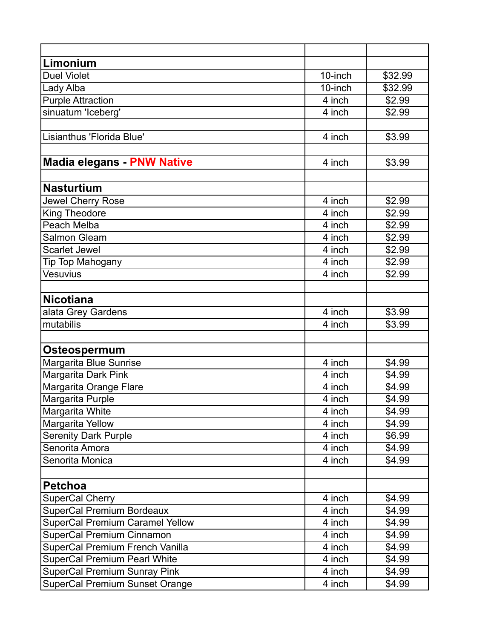| Limonium                               |         |                    |
|----------------------------------------|---------|--------------------|
| Duel Violet                            | 10-inch | \$32.99            |
| Lady Alba                              | 10-inch | \$32.99            |
| <b>Purple Attraction</b>               | 4 inch  | \$2.99             |
| sinuatum 'Iceberg'                     | 4 inch  | \$2.99             |
|                                        |         |                    |
| Lisianthus 'Florida Blue'              | 4 inch  | \$3.99             |
|                                        |         |                    |
| <b>Madia elegans - PNW Native</b>      | 4 inch  | \$3.99             |
|                                        |         |                    |
| <b>Nasturtium</b>                      |         |                    |
| Jewel Cherry Rose                      | 4 inch  | \$2.99             |
| King Theodore                          | 4 inch  | \$2.99             |
| Peach Melba                            | 4 inch  | \$2.99             |
| Salmon Gleam                           | 4 inch  | $\overline{$}2.99$ |
| <b>Scarlet Jewel</b>                   | 4 inch  | \$2.99             |
| Tip Top Mahogany                       | 4 inch  | \$2.99             |
| Vesuvius                               | 4 inch  | \$2.99             |
|                                        |         |                    |
| <b>Nicotiana</b>                       |         |                    |
| alata Grey Gardens                     | 4 inch  | \$3.99             |
| mutabilis                              | 4 inch  | \$3.99             |
|                                        |         |                    |
| Osteospermum                           |         |                    |
| Margarita Blue Sunrise                 | 4 inch  | \$4.99             |
| Margarita Dark Pink                    | 4 inch  | \$4.99             |
| Margarita Orange Flare                 | 4 inch  | \$4.99             |
| Margarita Purple                       | 4 inch  | \$4.99             |
| Margarita White                        | 4 inch  | \$4.99             |
| Margarita Yellow                       | 4 inch  | \$4.99             |
| <b>Serenity Dark Purple</b>            | 4 inch  | \$6.99             |
| Senorita Amora                         | 4 inch  | \$4.99             |
| Senorita Monica                        | 4 inch  | \$4.99             |
|                                        |         |                    |
| <b>Petchoa</b>                         |         |                    |
| <b>SuperCal Cherry</b>                 | 4 inch  | \$4.99             |
| <b>SuperCal Premium Bordeaux</b>       | 4 inch  | \$4.99             |
| <b>SuperCal Premium Caramel Yellow</b> | 4 inch  | \$4.99             |
| SuperCal Premium Cinnamon              | 4 inch  | \$4.99             |
| SuperCal Premium French Vanilla        | 4 inch  | \$4.99             |
| <b>SuperCal Premium Pearl White</b>    | 4 inch  | \$4.99             |
| <b>SuperCal Premium Sunray Pink</b>    | 4 inch  | \$4.99             |
| <b>SuperCal Premium Sunset Orange</b>  | 4 inch  | \$4.99             |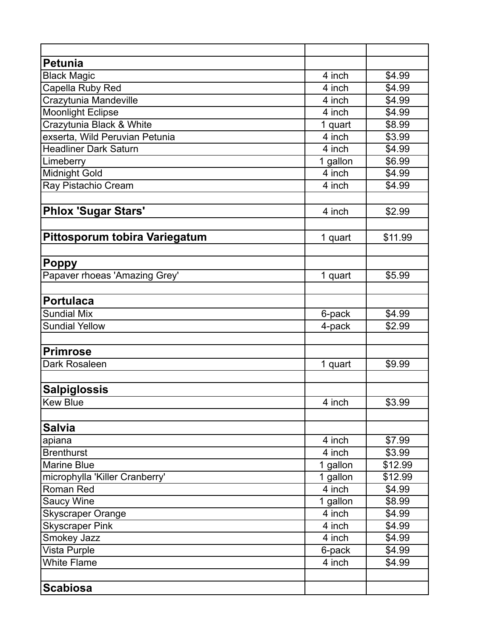| <b>Petunia</b>                 |          |                    |
|--------------------------------|----------|--------------------|
| <b>Black Magic</b>             | 4 inch   | \$4.99             |
| Capella Ruby Red               | 4 inch   | \$4.99             |
| Crazytunia Mandeville          | 4 inch   | \$4.99             |
| <b>Moonlight Eclipse</b>       | 4 inch   | \$4.99             |
| Crazytunia Black & White       | 1 quart  | \$8.99             |
| exserta, Wild Peruvian Petunia | 4 inch   | \$3.99             |
| <b>Headliner Dark Saturn</b>   | 4 inch   | \$4.99             |
| Limeberry                      | 1 gallon | \$6.99             |
| <b>Midnight Gold</b>           | 4 inch   | $\overline{$4.99}$ |
| Ray Pistachio Cream            | 4 inch   | \$4.99             |
|                                |          |                    |
| <b>Phlox 'Sugar Stars'</b>     | 4 inch   | \$2.99             |
| Pittosporum tobira Variegatum  | 1 quart  | \$11.99            |
|                                |          |                    |
| <b>Poppy</b>                   |          |                    |
| Papaver rhoeas 'Amazing Grey'  | 1 quart  | \$5.99             |
|                                |          |                    |
| <b>Portulaca</b>               |          |                    |
| <b>Sundial Mix</b>             | 6-pack   | \$4.99             |
| <b>Sundial Yellow</b>          | 4-pack   | \$2.99             |
|                                |          |                    |
| <b>Primrose</b>                |          |                    |
| Dark Rosaleen                  | 1 quart  | \$9.99             |
|                                |          |                    |
| <b>Salpiglossis</b>            |          |                    |
| <b>Kew Blue</b>                | 4 inch   | \$3.99             |
|                                |          |                    |
| <b>Salvia</b>                  |          |                    |
| apiana                         | 4 inch   | \$7.99             |
| <b>Brenthurst</b>              | 4 inch   | \$3.99             |
| <b>Marine Blue</b>             | 1 gallon | \$12.99            |
| microphylla 'Killer Cranberry' | 1 gallon | \$12.99            |
| Roman Red                      | 4 inch   | \$4.99             |
| <b>Saucy Wine</b>              | 1 gallon | \$8.99             |
| <b>Skyscraper Orange</b>       | 4 inch   | \$4.99             |
| <b>Skyscraper Pink</b>         | 4 inch   | \$4.99             |
| Smokey Jazz                    | 4 inch   | \$4.99             |
| Vista Purple                   | 6-pack   | \$4.99             |
| <b>White Flame</b>             | 4 inch   | \$4.99             |
|                                |          |                    |
| <b>Scabiosa</b>                |          |                    |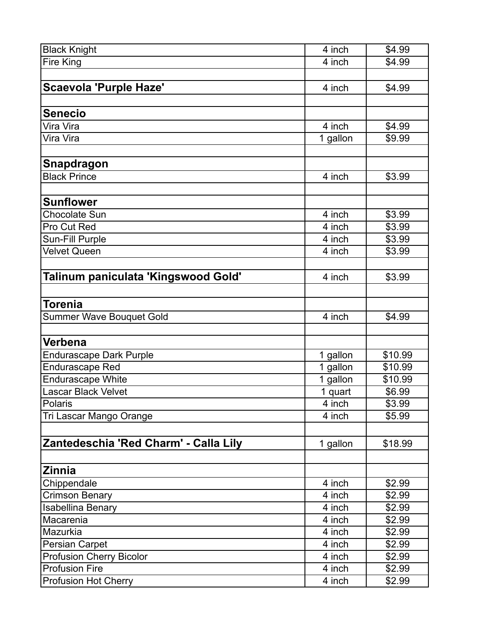| <b>Black Knight</b>                   | 4 inch   | \$4.99  |
|---------------------------------------|----------|---------|
| Fire King                             | 4 inch   | \$4.99  |
|                                       |          |         |
| <b>Scaevola 'Purple Haze'</b>         | 4 inch   | \$4.99  |
|                                       |          |         |
| <b>Senecio</b>                        |          |         |
| Vira Vira                             | 4 inch   | \$4.99  |
| Vira Vira                             | 1 gallon | \$9.99  |
|                                       |          |         |
| Snapdragon                            |          |         |
| <b>Black Prince</b>                   | 4 inch   | \$3.99  |
|                                       |          |         |
| <b>Sunflower</b>                      |          |         |
| <b>Chocolate Sun</b>                  | 4 inch   | \$3.99  |
| Pro Cut Red                           | 4 inch   | \$3.99  |
| Sun-Fill Purple                       | 4 inch   | \$3.99  |
| <b>Velvet Queen</b>                   | 4 inch   | \$3.99  |
|                                       |          |         |
| Talinum paniculata 'Kingswood Gold'   | 4 inch   | \$3.99  |
|                                       |          |         |
| Torenia                               |          |         |
| <b>Summer Wave Bouquet Gold</b>       | 4 inch   | \$4.99  |
|                                       |          |         |
| Verbena                               |          |         |
| <b>Endurascape Dark Purple</b>        | 1 gallon | \$10.99 |
| <b>Endurascape Red</b>                | 1 gallon | \$10.99 |
| <b>Endurascape White</b>              | 1 gallon | \$10.99 |
| Lascar Black Velvet                   | 1 quart  | \$6.99  |
| Polaris                               | 4 inch   | \$3.99  |
| Tri Lascar Mango Orange               | 4 inch   | \$5.99  |
|                                       |          |         |
| Zantedeschia 'Red Charm' - Calla Lily | 1 gallon | \$18.99 |
|                                       |          |         |
| <b>Zinnia</b>                         |          |         |
| Chippendale                           | 4 inch   | \$2.99  |
| <b>Crimson Benary</b>                 | 4 inch   | \$2.99  |
| <b>Isabellina Benary</b>              | 4 inch   | \$2.99  |
| Macarenia                             | 4 inch   | \$2.99  |
| Mazurkia                              | 4 inch   | \$2.99  |
| Persian Carpet                        | 4 inch   | \$2.99  |
| <b>Profusion Cherry Bicolor</b>       | 4 inch   | \$2.99  |
| <b>Profusion Fire</b>                 | 4 inch   | \$2.99  |
| <b>Profusion Hot Cherry</b>           | 4 inch   | \$2.99  |